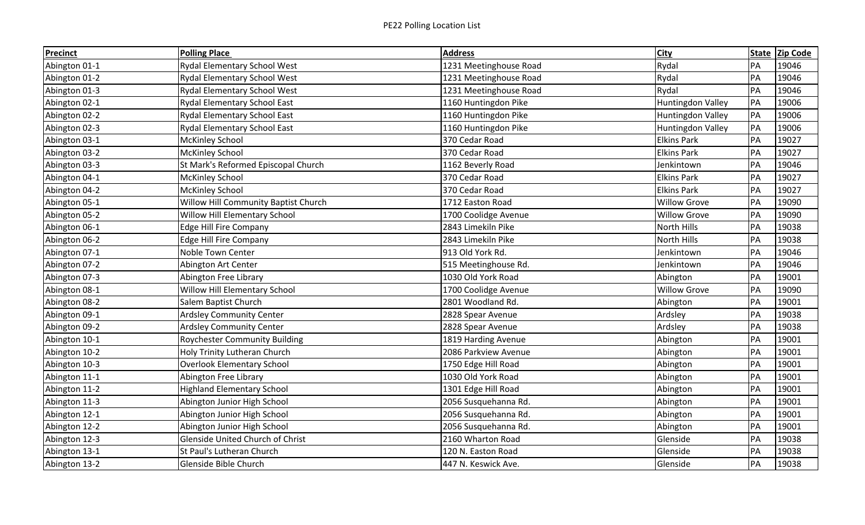| <b>Precinct</b> | <b>Polling Place</b>                 | <b>Address</b>         | <b>City</b>              | <b>State</b> | <b>Zip Code</b> |
|-----------------|--------------------------------------|------------------------|--------------------------|--------------|-----------------|
| Abington 01-1   | <b>Rydal Elementary School West</b>  | 1231 Meetinghouse Road | Rydal                    | PA           | 19046           |
| Abington 01-2   | Rydal Elementary School West         | 1231 Meetinghouse Road | Rydal                    | PA           | 19046           |
| Abington 01-3   | Rydal Elementary School West         | 1231 Meetinghouse Road | Rydal                    | PA           | 19046           |
| Abington 02-1   | Rydal Elementary School East         | 1160 Huntingdon Pike   | <b>Huntingdon Valley</b> | PA           | 19006           |
| Abington 02-2   | Rydal Elementary School East         | 1160 Huntingdon Pike   | Huntingdon Valley        | PA           | 19006           |
| Abington 02-3   | Rydal Elementary School East         | 1160 Huntingdon Pike   | <b>Huntingdon Valley</b> | PA           | 19006           |
| Abington 03-1   | McKinley School                      | 370 Cedar Road         | <b>Elkins Park</b>       | PA           | 19027           |
| Abington 03-2   | <b>McKinley School</b>               | 370 Cedar Road         | <b>Elkins Park</b>       | PA           | 19027           |
| Abington 03-3   | St Mark's Reformed Episcopal Church  | 1162 Beverly Road      | Jenkintown               | PA           | 19046           |
| Abington 04-1   | McKinley School                      | 370 Cedar Road         | <b>Elkins Park</b>       | PA           | 19027           |
| Abington 04-2   | <b>McKinley School</b>               | 370 Cedar Road         | <b>Elkins Park</b>       | PA           | 19027           |
| Abington 05-1   | Willow Hill Community Baptist Church | 1712 Easton Road       | <b>Willow Grove</b>      | PA           | 19090           |
| Abington 05-2   | Willow Hill Elementary School        | 1700 Coolidge Avenue   | <b>Willow Grove</b>      | PA           | 19090           |
| Abington 06-1   | <b>Edge Hill Fire Company</b>        | 2843 Limekiln Pike     | <b>North Hills</b>       | PA           | 19038           |
| Abington 06-2   | <b>Edge Hill Fire Company</b>        | 2843 Limekiln Pike     | North Hills              | PA           | 19038           |
| Abington 07-1   | Noble Town Center                    | 913 Old York Rd.       | Jenkintown               | PA           | 19046           |
| Abington 07-2   | Abington Art Center                  | 515 Meetinghouse Rd.   | Jenkintown               | PA           | 19046           |
| Abington 07-3   | Abington Free Library                | 1030 Old York Road     | Abington                 | PA           | 19001           |
| Abington 08-1   | Willow Hill Elementary School        | 1700 Coolidge Avenue   | <b>Willow Grove</b>      | PA           | 19090           |
| Abington 08-2   | Salem Baptist Church                 | 2801 Woodland Rd.      | Abington                 | PA           | 19001           |
| Abington 09-1   | <b>Ardsley Community Center</b>      | 2828 Spear Avenue      | Ardsley                  | PA           | 19038           |
| Abington 09-2   | <b>Ardsley Community Center</b>      | 2828 Spear Avenue      | Ardsley                  | PA           | 19038           |
| Abington 10-1   | Roychester Community Building        | 1819 Harding Avenue    | Abington                 | PA           | 19001           |
| Abington 10-2   | Holy Trinity Lutheran Church         | 2086 Parkview Avenue   | Abington                 | PA           | 19001           |
| Abington 10-3   | <b>Overlook Elementary School</b>    | 1750 Edge Hill Road    | Abington                 | PA           | 19001           |
| Abington 11-1   | Abington Free Library                | 1030 Old York Road     | Abington                 | PA           | 19001           |
| Abington 11-2   | <b>Highland Elementary School</b>    | 1301 Edge Hill Road    | Abington                 | PA           | 19001           |
| Abington 11-3   | Abington Junior High School          | 2056 Susquehanna Rd.   | Abington                 | PA           | 19001           |
| Abington 12-1   | Abington Junior High School          | 2056 Susquehanna Rd.   | Abington                 | PA           | 19001           |
| Abington 12-2   | Abington Junior High School          | 2056 Susquehanna Rd.   | Abington                 | PA           | 19001           |
| Abington 12-3   | Glenside United Church of Christ     | 2160 Wharton Road      | Glenside                 | PA           | 19038           |
| Abington 13-1   | St Paul's Lutheran Church            | 120 N. Easton Road     | Glenside                 | PA           | 19038           |
| Abington 13-2   | Glenside Bible Church                | 447 N. Keswick Ave.    | Glenside                 | PA           | 19038           |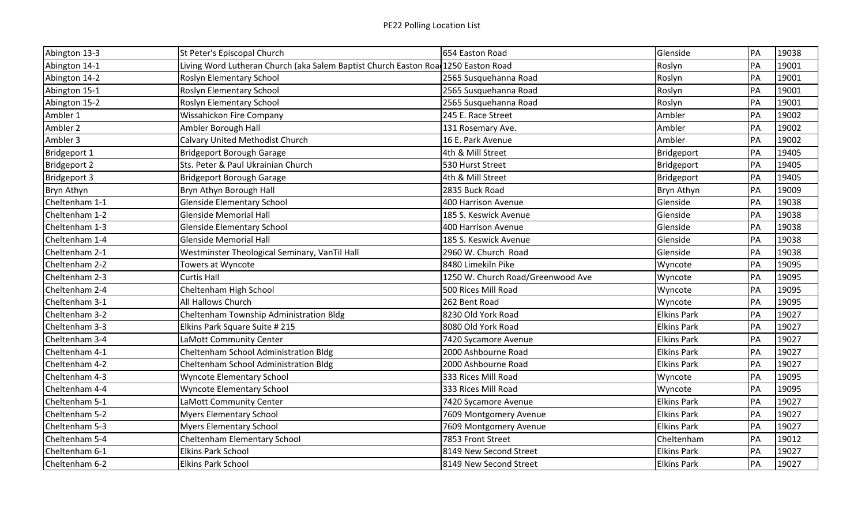| Abington 13-3       | St Peter's Episcopal Church                                                       | 654 Easton Road                   | Glenside           | PA | 19038 |
|---------------------|-----------------------------------------------------------------------------------|-----------------------------------|--------------------|----|-------|
| Abington 14-1       | Living Word Lutheran Church (aka Salem Baptist Church Easton Roa 1250 Easton Road |                                   | Roslyn             | PA | 19001 |
| Abington 14-2       | Roslyn Elementary School                                                          | 2565 Susquehanna Road             | Roslyn             | PA | 19001 |
| Abington 15-1       | Roslyn Elementary School                                                          | 2565 Susquehanna Road             | Roslyn             | PA | 19001 |
| Abington 15-2       | Roslyn Elementary School                                                          | 2565 Susquehanna Road             | Roslyn             | PA | 19001 |
| Ambler 1            | Wissahickon Fire Company                                                          | 245 E. Race Street                | Ambler             | PA | 19002 |
| Ambler 2            | Ambler Borough Hall                                                               | 131 Rosemary Ave.                 | Ambler             | PA | 19002 |
| Ambler 3            | Calvary United Methodist Church                                                   | 16 E. Park Avenue                 | Ambler             | PA | 19002 |
| Bridgeport 1        | <b>Bridgeport Borough Garage</b>                                                  | 4th & Mill Street                 | Bridgeport         | PA | 19405 |
| <b>Bridgeport 2</b> | Sts. Peter & Paul Ukrainian Church                                                | 530 Hurst Street                  | Bridgeport         | PA | 19405 |
| <b>Bridgeport 3</b> | <b>Bridgeport Borough Garage</b>                                                  | 4th & Mill Street                 | Bridgeport         | PA | 19405 |
| Bryn Athyn          | Bryn Athyn Borough Hall                                                           | 2835 Buck Road                    | <b>Bryn Athyn</b>  | PA | 19009 |
| Cheltenham 1-1      | <b>Glenside Elementary School</b>                                                 | 400 Harrison Avenue               | Glenside           | PA | 19038 |
| Cheltenham 1-2      | <b>Glenside Memorial Hall</b>                                                     | 185 S. Keswick Avenue             | Glenside           | PA | 19038 |
| Cheltenham 1-3      | <b>Glenside Elementary School</b>                                                 | 400 Harrison Avenue               | Glenside           | PA | 19038 |
| Cheltenham 1-4      | <b>Glenside Memorial Hall</b>                                                     | 185 S. Keswick Avenue             | Glenside           | PA | 19038 |
| Cheltenham 2-1      | Westminster Theological Seminary, VanTil Hall                                     | 2960 W. Church Road               | Glenside           | PA | 19038 |
| Cheltenham 2-2      | Towers at Wyncote                                                                 | 8480 Limekiln Pike                | Wyncote            | PA | 19095 |
| Cheltenham 2-3      | <b>Curtis Hall</b>                                                                | 1250 W. Church Road/Greenwood Ave | Wyncote            | PA | 19095 |
| Cheltenham 2-4      | Cheltenham High School                                                            | 500 Rices Mill Road               | Wyncote            | PA | 19095 |
| Cheltenham 3-1      | All Hallows Church                                                                | 262 Bent Road                     | Wyncote            | PA | 19095 |
| Cheltenham 3-2      | Cheltenham Township Administration Bldg                                           | 8230 Old York Road                | <b>Elkins Park</b> | PA | 19027 |
| Cheltenham 3-3      | Elkins Park Square Suite # 215                                                    | 8080 Old York Road                | <b>Elkins Park</b> | PA | 19027 |
| Cheltenham 3-4      | LaMott Community Center                                                           | 7420 Sycamore Avenue              | <b>Elkins Park</b> | PA | 19027 |
| Cheltenham 4-1      | Cheltenham School Administration Bldg                                             | 2000 Ashbourne Road               | <b>Elkins Park</b> | PA | 19027 |
| Cheltenham 4-2      | Cheltenham School Administration Bldg                                             | 2000 Ashbourne Road               | <b>Elkins Park</b> | PA | 19027 |
| Cheltenham 4-3      | <b>Wyncote Elementary School</b>                                                  | 333 Rices Mill Road               | Wyncote            | PA | 19095 |
| Cheltenham 4-4      | <b>Wyncote Elementary School</b>                                                  | 333 Rices Mill Road               | Wyncote            | PA | 19095 |
| Cheltenham 5-1      | LaMott Community Center                                                           | 7420 Sycamore Avenue              | <b>Elkins Park</b> | PA | 19027 |
| Cheltenham 5-2      | <b>Myers Elementary School</b>                                                    | 7609 Montgomery Avenue            | <b>Elkins Park</b> | PA | 19027 |
| Cheltenham 5-3      | <b>Myers Elementary School</b>                                                    | 7609 Montgomery Avenue            | <b>Elkins Park</b> | PA | 19027 |
| Cheltenham 5-4      | Cheltenham Elementary School                                                      | 7853 Front Street                 | Cheltenham         | PA | 19012 |
| Cheltenham 6-1      | <b>Elkins Park School</b>                                                         | 8149 New Second Street            | <b>Elkins Park</b> | PA | 19027 |
| Cheltenham 6-2      | <b>Elkins Park School</b>                                                         | 8149 New Second Street            | <b>Elkins Park</b> | PA | 19027 |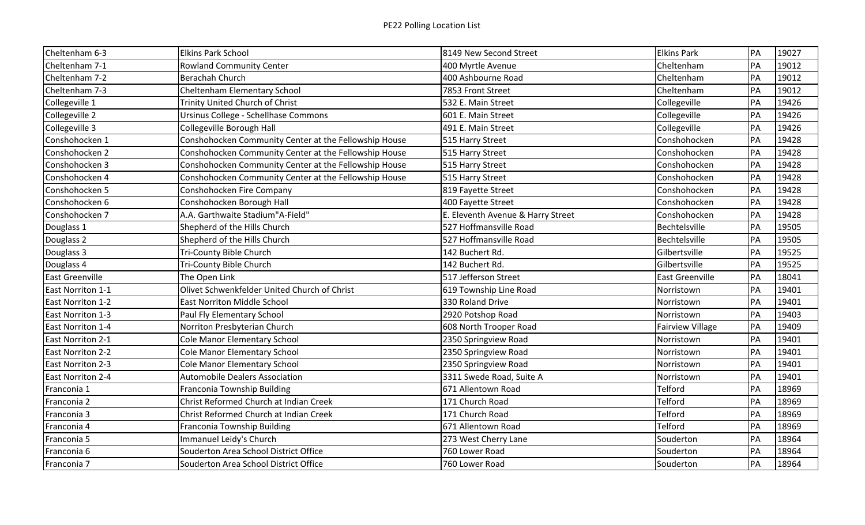| Cheltenham 6-3    | <b>Elkins Park School</b>                             | 8149 New Second Street            | <b>Elkins Park</b>      | PA | 19027 |
|-------------------|-------------------------------------------------------|-----------------------------------|-------------------------|----|-------|
| Cheltenham 7-1    | <b>Rowland Community Center</b>                       | 400 Myrtle Avenue                 | Cheltenham              | PA | 19012 |
| Cheltenham 7-2    | Berachah Church                                       | 400 Ashbourne Road                | Cheltenham              | PA | 19012 |
| Cheltenham 7-3    | Cheltenham Elementary School                          | 7853 Front Street                 | Cheltenham              | PA | 19012 |
| Collegeville 1    | Trinity United Church of Christ                       | 532 E. Main Street                | Collegeville            | PA | 19426 |
| Collegeville 2    | Ursinus College - Schellhase Commons                  | 601 E. Main Street                | Collegeville            | PA | 19426 |
| Collegeville 3    | Collegeville Borough Hall                             | 491 E. Main Street                | Collegeville            | PA | 19426 |
| Conshohocken 1    | Conshohocken Community Center at the Fellowship House | 515 Harry Street                  | Conshohocken            | PA | 19428 |
| Conshohocken 2    | Conshohocken Community Center at the Fellowship House | 515 Harry Street                  | Conshohocken            | PA | 19428 |
| Conshohocken 3    | Conshohocken Community Center at the Fellowship House | 515 Harry Street                  | Conshohocken            | PA | 19428 |
| Conshohocken 4    | Conshohocken Community Center at the Fellowship House | 515 Harry Street                  | Conshohocken            | PA | 19428 |
| Conshohocken 5    | Conshohocken Fire Company                             | 819 Fayette Street                | Conshohocken            | PA | 19428 |
| Conshohocken 6    | Conshohocken Borough Hall                             | 400 Fayette Street                | Conshohocken            | PA | 19428 |
| Conshohocken 7    | A.A. Garthwaite Stadium"A-Field"                      | E. Eleventh Avenue & Harry Street | Conshohocken            | PA | 19428 |
| Douglass 1        | Shepherd of the Hills Church                          | 527 Hoffmansville Road            | Bechtelsville           | PA | 19505 |
| Douglass 2        | Shepherd of the Hills Church                          | 527 Hoffmansville Road            | Bechtelsville           | PA | 19505 |
| Douglass 3        | <b>Tri-County Bible Church</b>                        | 142 Buchert Rd.                   | Gilbertsville           | PA | 19525 |
| Douglass 4        | Tri-County Bible Church                               | 142 Buchert Rd.                   | Gilbertsville           | PA | 19525 |
| East Greenville   | The Open Link                                         | 517 Jefferson Street              | <b>East Greenville</b>  | PA | 18041 |
| East Norriton 1-1 | Olivet Schwenkfelder United Church of Christ          | 619 Township Line Road            | Norristown              | PA | 19401 |
| East Norriton 1-2 | <b>East Norriton Middle School</b>                    | 330 Roland Drive                  | Norristown              | PA | 19401 |
| East Norriton 1-3 | Paul Fly Elementary School                            | 2920 Potshop Road                 | Norristown              | PA | 19403 |
| East Norriton 1-4 | Norriton Presbyterian Church                          | 608 North Trooper Road            | <b>Fairview Village</b> | PA | 19409 |
| East Norriton 2-1 | Cole Manor Elementary School                          | 2350 Springview Road              | Norristown              | PA | 19401 |
| East Norriton 2-2 | Cole Manor Elementary School                          | 2350 Springview Road              | Norristown              | PA | 19401 |
| East Norriton 2-3 | Cole Manor Elementary School                          | 2350 Springview Road              | Norristown              | PA | 19401 |
| East Norriton 2-4 | <b>Automobile Dealers Association</b>                 | 3311 Swede Road, Suite A          | Norristown              | PA | 19401 |
| Franconia 1       | Franconia Township Building                           | 671 Allentown Road                | Telford                 | PA | 18969 |
| Franconia 2       | Christ Reformed Church at Indian Creek                | 171 Church Road                   | <b>Telford</b>          | PA | 18969 |
| Franconia 3       | Christ Reformed Church at Indian Creek                | 171 Church Road                   | Telford                 | PA | 18969 |
| Franconia 4       | Franconia Township Building                           | 671 Allentown Road                | <b>Telford</b>          | PA | 18969 |
| Franconia 5       | Immanuel Leidy's Church                               | 273 West Cherry Lane              | Souderton               | PA | 18964 |
| Franconia 6       | Souderton Area School District Office                 | 760 Lower Road                    | Souderton               | PA | 18964 |
| Franconia 7       | Souderton Area School District Office                 | 760 Lower Road                    | Souderton               | PA | 18964 |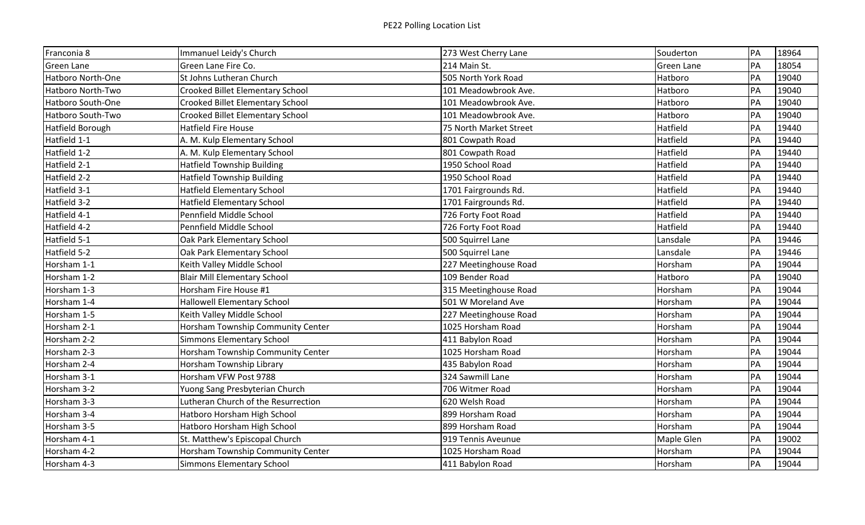| Franconia 8       | Immanuel Leidy's Church                 | 273 West Cherry Lane   | Souderton         | PA | 18964 |
|-------------------|-----------------------------------------|------------------------|-------------------|----|-------|
| <b>Green Lane</b> | Green Lane Fire Co.                     | 214 Main St.           | <b>Green Lane</b> | PA | 18054 |
| Hatboro North-One | St Johns Lutheran Church                | 505 North York Road    | Hatboro           | PA | 19040 |
| Hatboro North-Two | <b>Crooked Billet Elementary School</b> | 101 Meadowbrook Ave.   | Hatboro           | PA | 19040 |
| Hatboro South-One | <b>Crooked Billet Elementary School</b> | 101 Meadowbrook Ave.   | Hatboro           | PA | 19040 |
| Hatboro South-Two | <b>Crooked Billet Elementary School</b> | 101 Meadowbrook Ave.   | Hatboro           | PA | 19040 |
| Hatfield Borough  | Hatfield Fire House                     | 75 North Market Street | Hatfield          | PA | 19440 |
| Hatfield 1-1      | A. M. Kulp Elementary School            | 801 Cowpath Road       | Hatfield          | PA | 19440 |
| Hatfield 1-2      | A. M. Kulp Elementary School            | 801 Cowpath Road       | Hatfield          | PA | 19440 |
| Hatfield 2-1      | <b>Hatfield Township Building</b>       | 1950 School Road       | Hatfield          | PA | 19440 |
| Hatfield 2-2      | <b>Hatfield Township Building</b>       | 1950 School Road       | Hatfield          | PA | 19440 |
| Hatfield 3-1      | <b>Hatfield Elementary School</b>       | 1701 Fairgrounds Rd.   | Hatfield          | PA | 19440 |
| Hatfield 3-2      | <b>Hatfield Elementary School</b>       | 1701 Fairgrounds Rd.   | Hatfield          | PA | 19440 |
| Hatfield 4-1      | Pennfield Middle School                 | 726 Forty Foot Road    | Hatfield          | PA | 19440 |
| Hatfield 4-2      | Pennfield Middle School                 | 726 Forty Foot Road    | Hatfield          | PA | 19440 |
| Hatfield 5-1      | Oak Park Elementary School              | 500 Squirrel Lane      | Lansdale          | PA | 19446 |
| Hatfield 5-2      | Oak Park Elementary School              | 500 Squirrel Lane      | Lansdale          | PA | 19446 |
| Horsham 1-1       | Keith Valley Middle School              | 227 Meetinghouse Road  | Horsham           | PA | 19044 |
| Horsham 1-2       | <b>Blair Mill Elementary School</b>     | 109 Bender Road        | Hatboro           | PA | 19040 |
| Horsham 1-3       | Horsham Fire House #1                   | 315 Meetinghouse Road  | Horsham           | PA | 19044 |
| Horsham 1-4       | <b>Hallowell Elementary School</b>      | 501 W Moreland Ave     | Horsham           | PA | 19044 |
| Horsham 1-5       | Keith Valley Middle School              | 227 Meetinghouse Road  | Horsham           | PA | 19044 |
| Horsham 2-1       | Horsham Township Community Center       | 1025 Horsham Road      | Horsham           | PA | 19044 |
| Horsham 2-2       | <b>Simmons Elementary School</b>        | 411 Babylon Road       | Horsham           | PA | 19044 |
| Horsham 2-3       | Horsham Township Community Center       | 1025 Horsham Road      | Horsham           | PA | 19044 |
| Horsham 2-4       | Horsham Township Library                | 435 Babylon Road       | Horsham           | PA | 19044 |
| Horsham 3-1       | Horsham VFW Post 9788                   | 324 Sawmill Lane       | Horsham           | PA | 19044 |
| Horsham 3-2       | Yuong Sang Presbyterian Church          | 706 Witmer Road        | Horsham           | PA | 19044 |
| Horsham 3-3       | Lutheran Church of the Resurrection     | 620 Welsh Road         | Horsham           | PA | 19044 |
| Horsham 3-4       | Hatboro Horsham High School             | 899 Horsham Road       | Horsham           | PA | 19044 |
| Horsham 3-5       | Hatboro Horsham High School             | 899 Horsham Road       | Horsham           | PA | 19044 |
| Horsham 4-1       | St. Matthew's Episcopal Church          | 919 Tennis Aveunue     | Maple Glen        | PA | 19002 |
| Horsham 4-2       | Horsham Township Community Center       | 1025 Horsham Road      | Horsham           | PA | 19044 |
| Horsham 4-3       | <b>Simmons Elementary School</b>        | 411 Babylon Road       | Horsham           | PA | 19044 |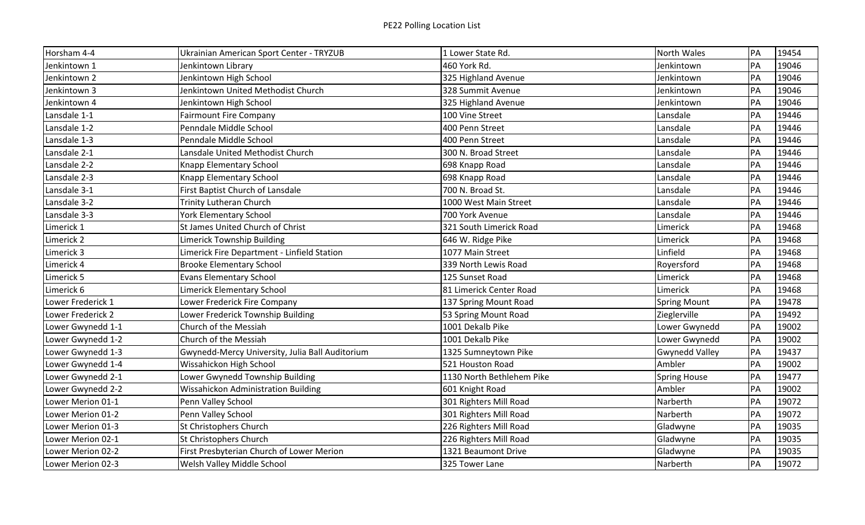| Horsham 4-4       | Ukrainian American Sport Center - TRYZUB        | 1 Lower State Rd.         | <b>North Wales</b>    | PA | 19454 |
|-------------------|-------------------------------------------------|---------------------------|-----------------------|----|-------|
| Jenkintown 1      | Jenkintown Library                              | 460 York Rd.              | Jenkintown            | PA | 19046 |
| Jenkintown 2      | Jenkintown High School                          | 325 Highland Avenue       | Jenkintown            | PA | 19046 |
| Jenkintown 3      | Jenkintown United Methodist Church              | 328 Summit Avenue         | Jenkintown            | PA | 19046 |
| Jenkintown 4      | Jenkintown High School                          | 325 Highland Avenue       | Jenkintown            | PA | 19046 |
| Lansdale 1-1      | <b>Fairmount Fire Company</b>                   | 100 Vine Street           | Lansdale              | PA | 19446 |
| Lansdale 1-2      | Penndale Middle School                          | 400 Penn Street           | Lansdale              | PA | 19446 |
| Lansdale 1-3      | Penndale Middle School                          | 400 Penn Street           | Lansdale              | PA | 19446 |
| Lansdale 2-1      | Lansdale United Methodist Church                | 300 N. Broad Street       | Lansdale              | PA | 19446 |
| Lansdale 2-2      | Knapp Elementary School                         | 698 Knapp Road            | Lansdale              | PA | 19446 |
| Lansdale 2-3      | Knapp Elementary School                         | 698 Knapp Road            | Lansdale              | PA | 19446 |
| Lansdale 3-1      | First Baptist Church of Lansdale                | 700 N. Broad St.          | Lansdale              | PA | 19446 |
| Lansdale 3-2      | <b>Trinity Lutheran Church</b>                  | 1000 West Main Street     | Lansdale              | PA | 19446 |
| Lansdale 3-3      | <b>York Elementary School</b>                   | 700 York Avenue           | Lansdale              | PA | 19446 |
| Limerick 1        | St James United Church of Christ                | 321 South Limerick Road   | Limerick              | PA | 19468 |
| Limerick 2        | Limerick Township Building                      | 646 W. Ridge Pike         | Limerick              | PA | 19468 |
| Limerick 3        | Limerick Fire Department - Linfield Station     | 1077 Main Street          | Linfield              | PA | 19468 |
| Limerick 4        | <b>Brooke Elementary School</b>                 | 339 North Lewis Road      | Royersford            | PA | 19468 |
| Limerick 5        | <b>Evans Elementary School</b>                  | 125 Sunset Road           | Limerick              | PA | 19468 |
| Limerick 6        | Limerick Elementary School                      | 81 Limerick Center Road   | Limerick              | PA | 19468 |
| Lower Frederick 1 | Lower Frederick Fire Company                    | 137 Spring Mount Road     | <b>Spring Mount</b>   | PA | 19478 |
| Lower Frederick 2 | Lower Frederick Township Building               | 53 Spring Mount Road      | Zieglerville          | PA | 19492 |
| Lower Gwynedd 1-1 | Church of the Messiah                           | 1001 Dekalb Pike          | Lower Gwynedd         | PA | 19002 |
| Lower Gwynedd 1-2 | Church of the Messiah                           | 1001 Dekalb Pike          | Lower Gwynedd         | PA | 19002 |
| Lower Gwynedd 1-3 | Gwynedd-Mercy University, Julia Ball Auditorium | 1325 Sumneytown Pike      | <b>Gwynedd Valley</b> | PA | 19437 |
| Lower Gwynedd 1-4 | Wissahickon High School                         | 521 Houston Road          | Ambler                | PA | 19002 |
| Lower Gwynedd 2-1 | Lower Gwynedd Township Building                 | 1130 North Bethlehem Pike | <b>Spring House</b>   | PA | 19477 |
| Lower Gwynedd 2-2 | Wissahickon Administration Building             | 601 Knight Road           | Ambler                | PA | 19002 |
| Lower Merion 01-1 | Penn Valley School                              | 301 Righters Mill Road    | Narberth              | PA | 19072 |
| Lower Merion 01-2 | Penn Valley School                              | 301 Righters Mill Road    | Narberth              | PA | 19072 |
| Lower Merion 01-3 | St Christophers Church                          | 226 Righters Mill Road    | Gladwyne              | PA | 19035 |
| Lower Merion 02-1 | St Christophers Church                          | 226 Righters Mill Road    | Gladwyne              | PA | 19035 |
| Lower Merion 02-2 | First Presbyterian Church of Lower Merion       | 1321 Beaumont Drive       | Gladwyne              | PA | 19035 |
| Lower Merion 02-3 | Welsh Valley Middle School                      | 325 Tower Lane            | Narberth              | PA | 19072 |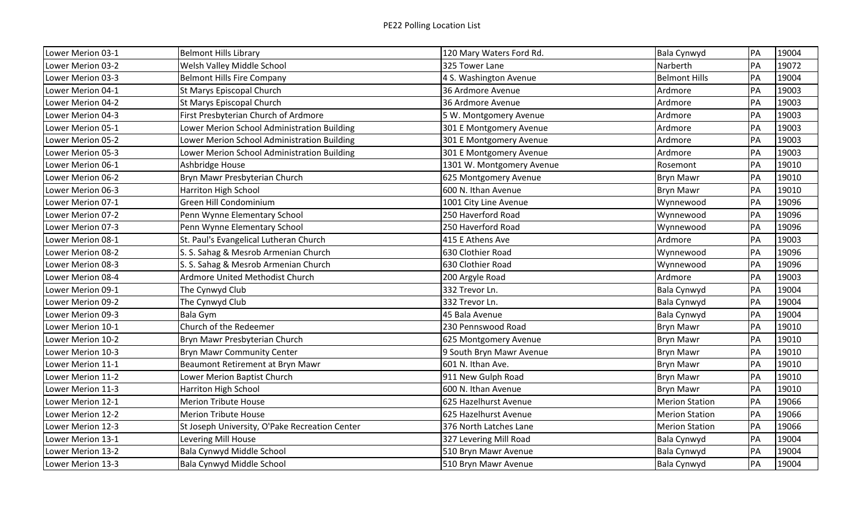| Lower Merion 03-1 | <b>Belmont Hills Library</b>                   | 120 Mary Waters Ford Rd.  | Bala Cynwyd           | PA | 19004 |
|-------------------|------------------------------------------------|---------------------------|-----------------------|----|-------|
| Lower Merion 03-2 | Welsh Valley Middle School                     | 325 Tower Lane            | Narberth              | PA | 19072 |
| Lower Merion 03-3 | <b>Belmont Hills Fire Company</b>              | 4 S. Washington Avenue    | <b>Belmont Hills</b>  | PA | 19004 |
| Lower Merion 04-1 | St Marys Episcopal Church                      | 36 Ardmore Avenue         | Ardmore               | PA | 19003 |
| Lower Merion 04-2 | St Marys Episcopal Church                      | 36 Ardmore Avenue         | Ardmore               | PA | 19003 |
| Lower Merion 04-3 | First Presbyterian Church of Ardmore           | 5 W. Montgomery Avenue    | Ardmore               | PA | 19003 |
| Lower Merion 05-1 | Lower Merion School Administration Building    | 301 E Montgomery Avenue   | Ardmore               | PA | 19003 |
| Lower Merion 05-2 | Lower Merion School Administration Building    | 301 E Montgomery Avenue   | Ardmore               | PA | 19003 |
| Lower Merion 05-3 | Lower Merion School Administration Building    | 301 E Montgomery Avenue   | Ardmore               | PA | 19003 |
| Lower Merion 06-1 | Ashbridge House                                | 1301 W. Montgomery Avenue | Rosemont              | PA | 19010 |
| Lower Merion 06-2 | Bryn Mawr Presbyterian Church                  | 625 Montgomery Avenue     | <b>Bryn Mawr</b>      | PA | 19010 |
| Lower Merion 06-3 | Harriton High School                           | 600 N. Ithan Avenue       | <b>Bryn Mawr</b>      | PA | 19010 |
| Lower Merion 07-1 | Green Hill Condominium                         | 1001 City Line Avenue     | Wynnewood             | PA | 19096 |
| Lower Merion 07-2 | Penn Wynne Elementary School                   | 250 Haverford Road        | Wynnewood             | PA | 19096 |
| Lower Merion 07-3 | Penn Wynne Elementary School                   | 250 Haverford Road        | Wynnewood             | PA | 19096 |
| Lower Merion 08-1 | St. Paul's Evangelical Lutheran Church         | 415 E Athens Ave          | Ardmore               | PA | 19003 |
| Lower Merion 08-2 | S. S. Sahag & Mesrob Armenian Church           | 630 Clothier Road         | Wynnewood             | PA | 19096 |
| Lower Merion 08-3 | S. S. Sahag & Mesrob Armenian Church           | 630 Clothier Road         | Wynnewood             | PA | 19096 |
| Lower Merion 08-4 | Ardmore United Methodist Church                | 200 Argyle Road           | Ardmore               | PA | 19003 |
| Lower Merion 09-1 | The Cynwyd Club                                | 332 Trevor Ln.            | Bala Cynwyd           | PA | 19004 |
| Lower Merion 09-2 | The Cynwyd Club                                | 332 Trevor Ln.            | Bala Cynwyd           | PA | 19004 |
| Lower Merion 09-3 | <b>Bala Gym</b>                                | 45 Bala Avenue            | <b>Bala Cynwyd</b>    | PA | 19004 |
| Lower Merion 10-1 | Church of the Redeemer                         | 230 Pennswood Road        | <b>Bryn Mawr</b>      | PA | 19010 |
| Lower Merion 10-2 | Bryn Mawr Presbyterian Church                  | 625 Montgomery Avenue     | <b>Bryn Mawr</b>      | PA | 19010 |
| Lower Merion 10-3 | <b>Bryn Mawr Community Center</b>              | 9 South Bryn Mawr Avenue  | <b>Bryn Mawr</b>      | PA | 19010 |
| Lower Merion 11-1 | Beaumont Retirement at Bryn Mawr               | 601 N. Ithan Ave.         | <b>Bryn Mawr</b>      | PA | 19010 |
| Lower Merion 11-2 | Lower Merion Baptist Church                    | 911 New Gulph Road        | <b>Bryn Mawr</b>      | PA | 19010 |
| Lower Merion 11-3 | Harriton High School                           | 600 N. Ithan Avenue       | <b>Bryn Mawr</b>      | PA | 19010 |
| Lower Merion 12-1 | <b>Merion Tribute House</b>                    | 625 Hazelhurst Avenue     | <b>Merion Station</b> | PA | 19066 |
| Lower Merion 12-2 | <b>Merion Tribute House</b>                    | 625 Hazelhurst Avenue     | <b>Merion Station</b> | PA | 19066 |
| Lower Merion 12-3 | St Joseph University, O'Pake Recreation Center | 376 North Latches Lane    | <b>Merion Station</b> | PA | 19066 |
| Lower Merion 13-1 | Levering Mill House                            | 327 Levering Mill Road    | <b>Bala Cynwyd</b>    | PA | 19004 |
| Lower Merion 13-2 | Bala Cynwyd Middle School                      | 510 Bryn Mawr Avenue      | <b>Bala Cynwyd</b>    | PA | 19004 |
| Lower Merion 13-3 | Bala Cynwyd Middle School                      | 510 Bryn Mawr Avenue      | Bala Cynwyd           | PA | 19004 |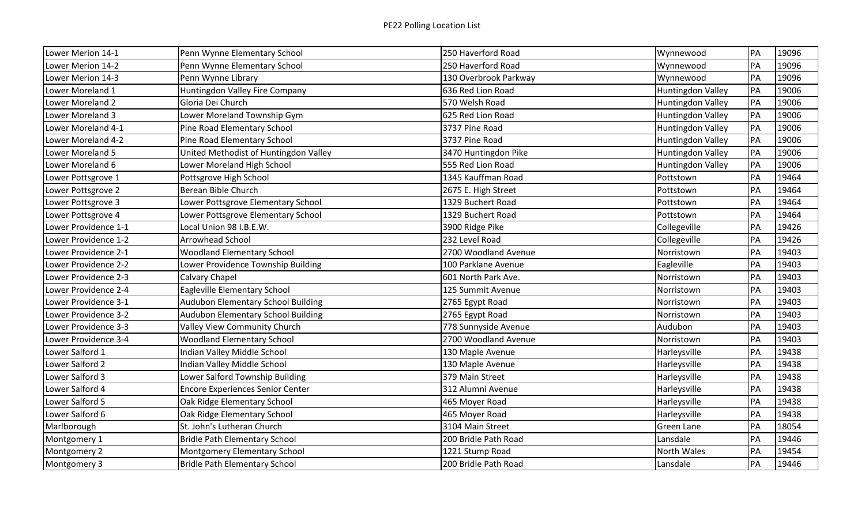| Lower Merion 14-1    | Penn Wynne Elementary School              | 250 Haverford Road    | Wynnewood                | PA | 19096 |
|----------------------|-------------------------------------------|-----------------------|--------------------------|----|-------|
| Lower Merion 14-2    | Penn Wynne Elementary School              | 250 Haverford Road    | Wynnewood                | PA | 19096 |
| Lower Merion 14-3    | Penn Wynne Library                        | 130 Overbrook Parkway | Wynnewood                | PA | 19096 |
| Lower Moreland 1     | Huntingdon Valley Fire Company            | 636 Red Lion Road     | Huntingdon Valley        | PA | 19006 |
| Lower Moreland 2     | Gloria Dei Church                         | 570 Welsh Road        | Huntingdon Valley        | PA | 19006 |
| Lower Moreland 3     | Lower Moreland Township Gym               | 625 Red Lion Road     | Huntingdon Valley        | PA | 19006 |
| Lower Moreland 4-1   | Pine Road Elementary School               | 3737 Pine Road        | <b>Huntingdon Valley</b> | PA | 19006 |
| Lower Moreland 4-2   | Pine Road Elementary School               | 3737 Pine Road        | Huntingdon Valley        | PA | 19006 |
| Lower Moreland 5     | United Methodist of Huntingdon Valley     | 3470 Huntingdon Pike  | Huntingdon Valley        | PA | 19006 |
| Lower Moreland 6     | Lower Moreland High School                | 555 Red Lion Road     | Huntingdon Valley        | PA | 19006 |
| Lower Pottsgrove 1   | Pottsgrove High School                    | 1345 Kauffman Road    | Pottstown                | PA | 19464 |
| Lower Pottsgrove 2   | Berean Bible Church                       | 2675 E. High Street   | Pottstown                | PA | 19464 |
| Lower Pottsgrove 3   | Lower Pottsgrove Elementary School        | 1329 Buchert Road     | Pottstown                | PA | 19464 |
| Lower Pottsgrove 4   | Lower Pottsgrove Elementary School        | 1329 Buchert Road     | Pottstown                | PA | 19464 |
| Lower Providence 1-1 | Local Union 98 I.B.E.W.                   | 3900 Ridge Pike       | Collegeville             | PA | 19426 |
| Lower Providence 1-2 | Arrowhead School                          | 232 Level Road        | Collegeville             | PA | 19426 |
| Lower Providence 2-1 | <b>Woodland Elementary School</b>         | 2700 Woodland Avenue  | Norristown               | PA | 19403 |
| Lower Providence 2-2 | Lower Providence Township Building        | 100 Parklane Avenue   | Eagleville               | PA | 19403 |
| Lower Providence 2-3 | Calvary Chapel                            | 601 North Park Ave.   | Norristown               | PA | 19403 |
| Lower Providence 2-4 | Eagleville Elementary School              | 125 Summit Avenue     | Norristown               | PA | 19403 |
| Lower Providence 3-1 | <b>Audubon Elementary School Building</b> | 2765 Egypt Road       | Norristown               | PA | 19403 |
| Lower Providence 3-2 | Audubon Elementary School Building        | 2765 Egypt Road       | Norristown               | PA | 19403 |
| Lower Providence 3-3 | <b>Valley View Community Church</b>       | 778 Sunnyside Avenue  | Audubon                  | PA | 19403 |
| Lower Providence 3-4 | <b>Woodland Elementary School</b>         | 2700 Woodland Avenue  | Norristown               | PA | 19403 |
| Lower Salford 1      | Indian Valley Middle School               | 130 Maple Avenue      | Harleysville             | PA | 19438 |
| Lower Salford 2      | Indian Valley Middle School               | 130 Maple Avenue      | Harleysville             | PA | 19438 |
| Lower Salford 3      | Lower Salford Township Building           | 379 Main Street       | Harleysville             | PA | 19438 |
| Lower Salford 4      | <b>Encore Experiences Senior Center</b>   | 312 Alumni Avenue     | Harleysville             | PA | 19438 |
| Lower Salford 5      | Oak Ridge Elementary School               | 465 Moyer Road        | Harleysville             | PA | 19438 |
| Lower Salford 6      | Oak Ridge Elementary School               | 465 Moyer Road        | Harleysville             | PA | 19438 |
| Marlborough          | St. John's Lutheran Church                | 3104 Main Street      | Green Lane               | PA | 18054 |
| Montgomery 1         | <b>Bridle Path Elementary School</b>      | 200 Bridle Path Road  | Lansdale                 | PA | 19446 |
| Montgomery 2         | Montgomery Elementary School              | 1221 Stump Road       | North Wales              | PA | 19454 |
| Montgomery 3         | <b>Bridle Path Elementary School</b>      | 200 Bridle Path Road  | Lansdale                 | PA | 19446 |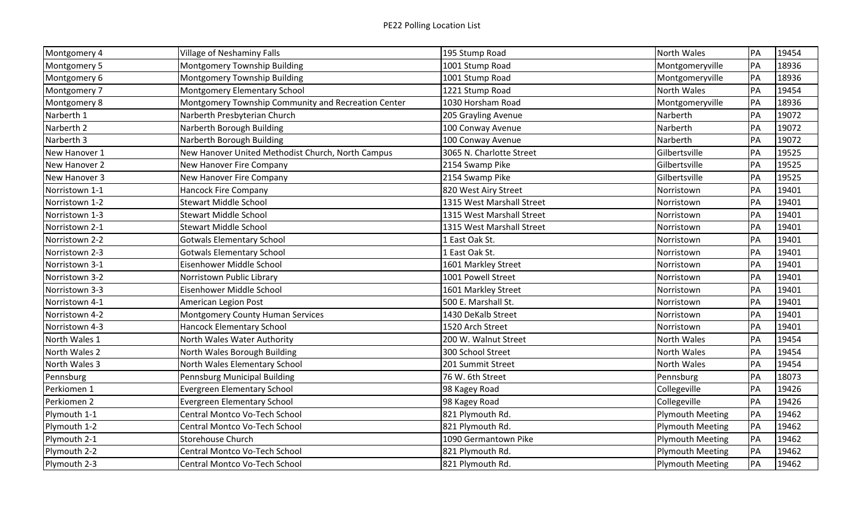| Montgomery 4   | Village of Neshaminy Falls                          | 195 Stump Road            | North Wales             | PA | 19454 |
|----------------|-----------------------------------------------------|---------------------------|-------------------------|----|-------|
| Montgomery 5   | Montgomery Township Building                        | 1001 Stump Road           | Montgomeryville         | PA | 18936 |
| Montgomery 6   | Montgomery Township Building                        | 1001 Stump Road           | Montgomeryville         | PA | 18936 |
| Montgomery 7   | Montgomery Elementary School                        | 1221 Stump Road           | North Wales             | PA | 19454 |
| Montgomery 8   | Montgomery Township Community and Recreation Center | 1030 Horsham Road         | Montgomeryville         | PA | 18936 |
| Narberth 1     | Narberth Presbyterian Church                        | 205 Grayling Avenue       | Narberth                | PA | 19072 |
| Narberth 2     | Narberth Borough Building                           | 100 Conway Avenue         | Narberth                | PA | 19072 |
| Narberth 3     | Narberth Borough Building                           | 100 Conway Avenue         | Narberth                | PA | 19072 |
| New Hanover 1  | New Hanover United Methodist Church, North Campus   | 3065 N. Charlotte Street  | Gilbertsville           | PA | 19525 |
| New Hanover 2  | New Hanover Fire Company                            | 2154 Swamp Pike           | Gilbertsville           | PA | 19525 |
| New Hanover 3  | New Hanover Fire Company                            | 2154 Swamp Pike           | Gilbertsville           | PA | 19525 |
| Norristown 1-1 | <b>Hancock Fire Company</b>                         | 820 West Airy Street      | Norristown              | PA | 19401 |
| Norristown 1-2 | <b>Stewart Middle School</b>                        | 1315 West Marshall Street | Norristown              | PA | 19401 |
| Norristown 1-3 | <b>Stewart Middle School</b>                        | 1315 West Marshall Street | Norristown              | PA | 19401 |
| Norristown 2-1 | <b>Stewart Middle School</b>                        | 1315 West Marshall Street | Norristown              | PA | 19401 |
| Norristown 2-2 | <b>Gotwals Elementary School</b>                    | 1 East Oak St.            | Norristown              | PA | 19401 |
| Norristown 2-3 | <b>Gotwals Elementary School</b>                    | 1 East Oak St.            | Norristown              | PA | 19401 |
| Norristown 3-1 | Eisenhower Middle School                            | 1601 Markley Street       | Norristown              | PA | 19401 |
| Norristown 3-2 | Norristown Public Library                           | 1001 Powell Street        | Norristown              | PA | 19401 |
| Norristown 3-3 | Eisenhower Middle School                            | 1601 Markley Street       | Norristown              | PA | 19401 |
| Norristown 4-1 | American Legion Post                                | 500 E. Marshall St.       | Norristown              | PA | 19401 |
| Norristown 4-2 | Montgomery County Human Services                    | 1430 DeKalb Street        | Norristown              | PA | 19401 |
| Norristown 4-3 | Hancock Elementary School                           | 1520 Arch Street          | Norristown              | PA | 19401 |
| North Wales 1  | North Wales Water Authority                         | 200 W. Walnut Street      | North Wales             | PA | 19454 |
| North Wales 2  | North Wales Borough Building                        | 300 School Street         | North Wales             | PA | 19454 |
| North Wales 3  | North Wales Elementary School                       | 201 Summit Street         | North Wales             | PA | 19454 |
| Pennsburg      | Pennsburg Municipal Building                        | 76 W. 6th Street          | Pennsburg               | PA | 18073 |
| Perkiomen 1    | <b>Evergreen Elementary School</b>                  | 98 Kagey Road             | Collegeville            | PA | 19426 |
| Perkiomen 2    | <b>Evergreen Elementary School</b>                  | 98 Kagey Road             | Collegeville            | PA | 19426 |
| Plymouth 1-1   | Central Montco Vo-Tech School                       | 821 Plymouth Rd.          | <b>Plymouth Meeting</b> | PA | 19462 |
| Plymouth 1-2   | Central Montco Vo-Tech School                       | 821 Plymouth Rd.          | <b>Plymouth Meeting</b> | PA | 19462 |
| Plymouth 2-1   | <b>Storehouse Church</b>                            | 1090 Germantown Pike      | <b>Plymouth Meeting</b> | PA | 19462 |
| Plymouth 2-2   | Central Montco Vo-Tech School                       | 821 Plymouth Rd.          | <b>Plymouth Meeting</b> | PA | 19462 |
| Plymouth 2-3   | Central Montco Vo-Tech School                       | 821 Plymouth Rd.          | <b>Plymouth Meeting</b> | PA | 19462 |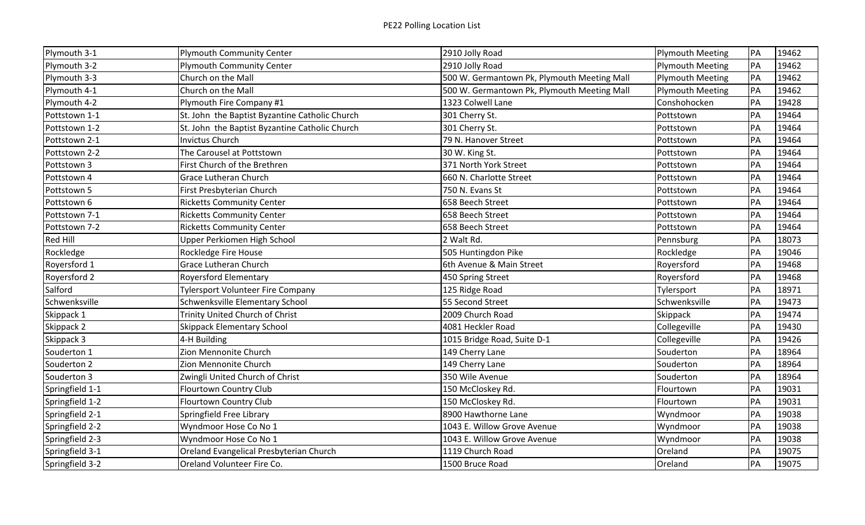| Plymouth 3-1    | <b>Plymouth Community Center</b>               | 2910 Jolly Road                             | <b>Plymouth Meeting</b> | PA | 19462 |
|-----------------|------------------------------------------------|---------------------------------------------|-------------------------|----|-------|
| Plymouth 3-2    | <b>Plymouth Community Center</b>               | 2910 Jolly Road                             | <b>Plymouth Meeting</b> | PA | 19462 |
| Plymouth 3-3    | Church on the Mall                             | 500 W. Germantown Pk, Plymouth Meeting Mall | <b>Plymouth Meeting</b> | PA | 19462 |
| Plymouth 4-1    | Church on the Mall                             | 500 W. Germantown Pk, Plymouth Meeting Mall | <b>Plymouth Meeting</b> | PA | 19462 |
| Plymouth 4-2    | Plymouth Fire Company #1                       | 1323 Colwell Lane                           | Conshohocken            | PA | 19428 |
| Pottstown 1-1   | St. John the Baptist Byzantine Catholic Church | 301 Cherry St.                              | Pottstown               | PA | 19464 |
| Pottstown 1-2   | St. John the Baptist Byzantine Catholic Church | 301 Cherry St.                              | Pottstown               | PA | 19464 |
| Pottstown 2-1   | <b>Invictus Church</b>                         | 79 N. Hanover Street                        | Pottstown               | PA | 19464 |
| Pottstown 2-2   | The Carousel at Pottstown                      | 30 W. King St.                              | Pottstown               | PA | 19464 |
| Pottstown 3     | First Church of the Brethren                   | 371 North York Street                       | Pottstown               | PA | 19464 |
| Pottstown 4     | <b>Grace Lutheran Church</b>                   | 660 N. Charlotte Street                     | Pottstown               | PA | 19464 |
| Pottstown 5     | First Presbyterian Church                      | 750 N. Evans St                             | Pottstown               | PA | 19464 |
| Pottstown 6     | <b>Ricketts Community Center</b>               | 658 Beech Street                            | Pottstown               | PA | 19464 |
| Pottstown 7-1   | <b>Ricketts Community Center</b>               | 658 Beech Street                            | Pottstown               | PA | 19464 |
| Pottstown 7-2   | <b>Ricketts Community Center</b>               | 658 Beech Street                            | Pottstown               | PA | 19464 |
| <b>Red Hill</b> | Upper Perkiomen High School                    | 2 Walt Rd.                                  | Pennsburg               | PA | 18073 |
| Rockledge       | Rockledge Fire House                           | 505 Huntingdon Pike                         | Rockledge               | PA | 19046 |
| Royersford 1    | <b>Grace Lutheran Church</b>                   | 6th Avenue & Main Street                    | Royersford              | PA | 19468 |
| Royersford 2    | <b>Royersford Elementary</b>                   | 450 Spring Street                           | Royersford              | PA | 19468 |
| Salford         | <b>Tylersport Volunteer Fire Company</b>       | 125 Ridge Road                              | Tylersport              | PA | 18971 |
| Schwenksville   | Schwenksville Elementary School                | 55 Second Street                            | Schwenksville           | PA | 19473 |
| Skippack 1      | Trinity United Church of Christ                | 2009 Church Road                            | Skippack                | PA | 19474 |
| Skippack 2      | <b>Skippack Elementary School</b>              | 4081 Heckler Road                           | Collegeville            | PA | 19430 |
| Skippack 3      | 4-H Building                                   | 1015 Bridge Road, Suite D-1                 | Collegeville            | PA | 19426 |
| Souderton 1     | Zion Mennonite Church                          | 149 Cherry Lane                             | Souderton               | PA | 18964 |
| Souderton 2     | Zion Mennonite Church                          | 149 Cherry Lane                             | Souderton               | PA | 18964 |
| Souderton 3     | Zwingli United Church of Christ                | 350 Wile Avenue                             | Souderton               | PA | 18964 |
| Springfield 1-1 | Flourtown Country Club                         | 150 McCloskey Rd.                           | Flourtown               | PA | 19031 |
| Springfield 1-2 | Flourtown Country Club                         | 150 McCloskey Rd.                           | Flourtown               | PA | 19031 |
| Springfield 2-1 | Springfield Free Library                       | 8900 Hawthorne Lane                         | Wyndmoor                | PA | 19038 |
| Springfield 2-2 | Wyndmoor Hose Co No 1                          | 1043 E. Willow Grove Avenue                 | Wyndmoor                | PA | 19038 |
| Springfield 2-3 | Wyndmoor Hose Co No 1                          | 1043 E. Willow Grove Avenue                 | Wyndmoor                | PA | 19038 |
| Springfield 3-1 | Oreland Evangelical Presbyterian Church        | 1119 Church Road                            | Oreland                 | PA | 19075 |
| Springfield 3-2 | Oreland Volunteer Fire Co.                     | 1500 Bruce Road                             | Oreland                 | PA | 19075 |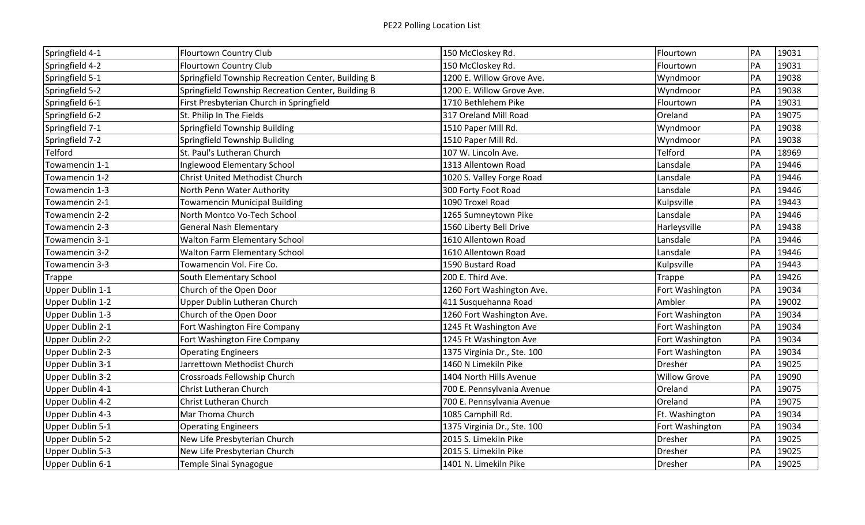| Springfield 4-1  | Flourtown Country Club                             | 150 McCloskey Rd.           | Flourtown           | PA        | 19031 |
|------------------|----------------------------------------------------|-----------------------------|---------------------|-----------|-------|
| Springfield 4-2  | <b>Flourtown Country Club</b>                      | 150 McCloskey Rd.           | Flourtown           | PA        | 19031 |
| Springfield 5-1  | Springfield Township Recreation Center, Building B | 1200 E. Willow Grove Ave.   | Wyndmoor            | PA        | 19038 |
| Springfield 5-2  | Springfield Township Recreation Center, Building B | 1200 E. Willow Grove Ave.   | Wyndmoor            | PA        | 19038 |
| Springfield 6-1  | First Presbyterian Church in Springfield           | 1710 Bethlehem Pike         | Flourtown           | PA        | 19031 |
| Springfield 6-2  | St. Philip In The Fields                           | 317 Oreland Mill Road       | Oreland             | PA        | 19075 |
| Springfield 7-1  | Springfield Township Building                      | 1510 Paper Mill Rd.         | Wyndmoor            | PA        | 19038 |
| Springfield 7-2  | Springfield Township Building                      | 1510 Paper Mill Rd.         | Wyndmoor            | PA        | 19038 |
| Telford          | St. Paul's Lutheran Church                         | 107 W. Lincoln Ave.         | <b>Telford</b>      | PA        | 18969 |
| Towamencin 1-1   | nglewood Elementary School                         | 1313 Allentown Road         | Lansdale            | PA        | 19446 |
| Towamencin 1-2   | Christ United Methodist Church                     | 1020 S. Valley Forge Road   | Lansdale            | PA        | 19446 |
| Towamencin 1-3   | North Penn Water Authority                         | 300 Forty Foot Road         | Lansdale            | PA        | 19446 |
| Towamencin 2-1   | <b>Towamencin Municipal Building</b>               | 1090 Troxel Road            | Kulpsville          | PA        | 19443 |
| Towamencin 2-2   | North Montco Vo-Tech School                        | 1265 Sumneytown Pike        | Lansdale            | <b>PA</b> | 19446 |
| Towamencin 2-3   | <b>General Nash Elementary</b>                     | 1560 Liberty Bell Drive     | Harleysville        | PA        | 19438 |
| Towamencin 3-1   | <b>Walton Farm Elementary School</b>               | 1610 Allentown Road         | Lansdale            | PA        | 19446 |
| Towamencin 3-2   | <b>Walton Farm Elementary School</b>               | 1610 Allentown Road         | Lansdale            | PA        | 19446 |
| Towamencin 3-3   | Towamencin Vol. Fire Co.                           | 1590 Bustard Road           | Kulpsville          | PA        | 19443 |
| Trappe           | South Elementary School                            | 200 E. Third Ave.           | Trappe              | PA        | 19426 |
| Upper Dublin 1-1 | Church of the Open Door                            | 1260 Fort Washington Ave.   | Fort Washington     | PA        | 19034 |
| Upper Dublin 1-2 | Upper Dublin Lutheran Church                       | 411 Susquehanna Road        | Ambler              | PA        | 19002 |
| Upper Dublin 1-3 | Church of the Open Door                            | 1260 Fort Washington Ave.   | Fort Washington     | PA        | 19034 |
| Upper Dublin 2-1 | Fort Washington Fire Company                       | 1245 Ft Washington Ave      | Fort Washington     | PA        | 19034 |
| Upper Dublin 2-2 | Fort Washington Fire Company                       | 1245 Ft Washington Ave      | Fort Washington     | PA        | 19034 |
| Upper Dublin 2-3 | <b>Operating Engineers</b>                         | 1375 Virginia Dr., Ste. 100 | Fort Washington     | PA        | 19034 |
| Upper Dublin 3-1 | Jarrettown Methodist Church                        | 1460 N Limekiln Pike        | Dresher             | PA        | 19025 |
| Upper Dublin 3-2 | Crossroads Fellowship Church                       | 1404 North Hills Avenue     | <b>Willow Grove</b> | PA        | 19090 |
| Upper Dublin 4-1 | Christ Lutheran Church                             | 700 E. Pennsylvania Avenue  | Oreland             | PA        | 19075 |
| Upper Dublin 4-2 | Christ Lutheran Church                             | 700 E. Pennsylvania Avenue  | Oreland             | PA        | 19075 |
| Upper Dublin 4-3 | Mar Thoma Church                                   | 1085 Camphill Rd.           | Ft. Washington      | PA        | 19034 |
| Upper Dublin 5-1 | <b>Operating Engineers</b>                         | 1375 Virginia Dr., Ste. 100 | Fort Washington     | PA        | 19034 |
| Upper Dublin 5-2 | New Life Presbyterian Church                       | 2015 S. Limekiln Pike       | Dresher             | PA        | 19025 |
| Upper Dublin 5-3 | New Life Presbyterian Church                       | 2015 S. Limekiln Pike       | <b>Dresher</b>      | PA        | 19025 |
| Upper Dublin 6-1 | Temple Sinai Synagogue                             | 1401 N. Limekiln Pike       | <b>Dresher</b>      | PA        | 19025 |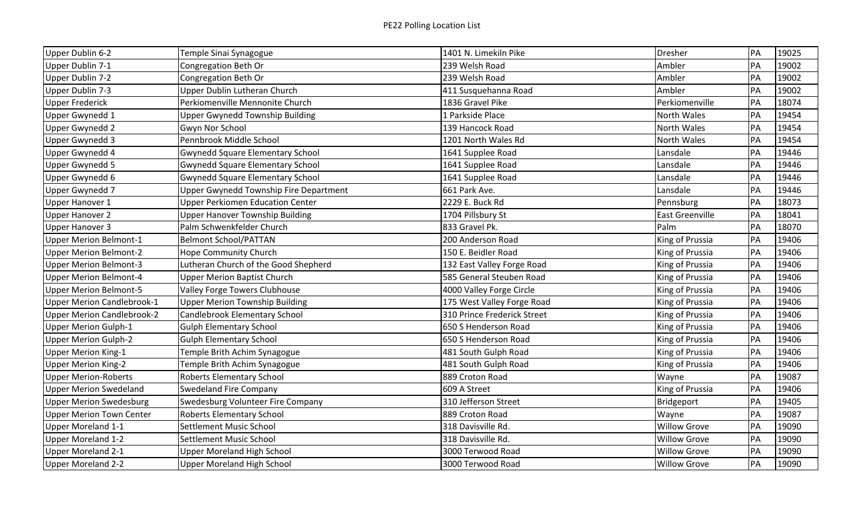| Upper Dublin 6-2                  | Temple Sinai Synagogue                  | 1401 N. Limekiln Pike       | <b>Dresher</b>      | PA | 19025 |
|-----------------------------------|-----------------------------------------|-----------------------------|---------------------|----|-------|
| Upper Dublin 7-1                  | Congregation Beth Or                    | 239 Welsh Road              | Ambler              | PA | 19002 |
| Upper Dublin 7-2                  | Congregation Beth Or                    | 239 Welsh Road              | Ambler              | PA | 19002 |
| Upper Dublin 7-3                  | Upper Dublin Lutheran Church            | 411 Susquehanna Road        | Ambler              | PA | 19002 |
| Upper Frederick                   | Perkiomenville Mennonite Church         | 1836 Gravel Pike            | Perkiomenville      | PA | 18074 |
| Upper Gwynedd 1                   | <b>Upper Gwynedd Township Building</b>  | 1 Parkside Place            | North Wales         | PA | 19454 |
| Upper Gwynedd 2                   | Gwyn Nor School                         | 139 Hancock Road            | North Wales         | PA | 19454 |
| <b>Upper Gwynedd 3</b>            | Pennbrook Middle School                 | 1201 North Wales Rd         | North Wales         | PA | 19454 |
| Upper Gwynedd 4                   | Gwynedd Square Elementary School        | 1641 Supplee Road           | Lansdale            | PA | 19446 |
| Upper Gwynedd 5                   | <b>Gwynedd Square Elementary School</b> | 1641 Supplee Road           | Lansdale            | PA | 19446 |
| Upper Gwynedd 6                   | <b>Gwynedd Square Elementary School</b> | 1641 Supplee Road           | Lansdale            | PA | 19446 |
| Upper Gwynedd 7                   | Upper Gwynedd Township Fire Department  | 661 Park Ave.               | Lansdale            | PA | 19446 |
| Upper Hanover 1                   | <b>Upper Perkiomen Education Center</b> | 2229 E. Buck Rd             | Pennsburg           | PA | 18073 |
| <b>Upper Hanover 2</b>            | <b>Upper Hanover Township Building</b>  | 1704 Pillsbury St           | East Greenville     | PA | 18041 |
| Upper Hanover 3                   | Palm Schwenkfelder Church               | 833 Gravel Pk.              | Palm                | PA | 18070 |
| <b>Upper Merion Belmont-1</b>     | <b>Belmont School/PATTAN</b>            | 200 Anderson Road           | King of Prussia     | PA | 19406 |
| <b>Upper Merion Belmont-2</b>     | Hope Community Church                   | 150 E. Beidler Road         | King of Prussia     | PA | 19406 |
| <b>Upper Merion Belmont-3</b>     | Lutheran Church of the Good Shepherd    | 132 East Valley Forge Road  | King of Prussia     | PA | 19406 |
| <b>Upper Merion Belmont-4</b>     | <b>Upper Merion Baptist Church</b>      | 585 General Steuben Road    | King of Prussia     | PA | 19406 |
| <b>Upper Merion Belmont-5</b>     | <b>Valley Forge Towers Clubhouse</b>    | 4000 Valley Forge Circle    | King of Prussia     | PA | 19406 |
| Upper Merion Candlebrook-1        | <b>Upper Merion Township Building</b>   | 175 West Valley Forge Road  | King of Prussia     | PA | 19406 |
| <b>Upper Merion Candlebrook-2</b> | Candlebrook Elementary School           | 310 Prince Frederick Street | King of Prussia     | PA | 19406 |
| Upper Merion Gulph-1              | <b>Gulph Elementary School</b>          | 650 S Henderson Road        | King of Prussia     | PA | 19406 |
| <b>Upper Merion Gulph-2</b>       | <b>Gulph Elementary School</b>          | 650 S Henderson Road        | King of Prussia     | PA | 19406 |
| Upper Merion King-1               | Temple Brith Achim Synagogue            | 481 South Gulph Road        | King of Prussia     | PA | 19406 |
| <b>Upper Merion King-2</b>        | Temple Brith Achim Synagogue            | 481 South Gulph Road        | King of Prussia     | PA | 19406 |
| <b>Upper Merion-Roberts</b>       | <b>Roberts Elementary School</b>        | 889 Croton Road             | Wayne               | PA | 19087 |
| <b>Upper Merion Swedeland</b>     | <b>Swedeland Fire Company</b>           | 609 A Street                | King of Prussia     | PA | 19406 |
| <b>Upper Merion Swedesburg</b>    | Swedesburg Volunteer Fire Company       | 310 Jefferson Street        | Bridgeport          | PA | 19405 |
| <b>Upper Merion Town Center</b>   | <b>Roberts Elementary School</b>        | 889 Croton Road             | Wayne               | PA | 19087 |
| Upper Moreland 1-1                | Settlement Music School                 | 318 Davisville Rd.          | <b>Willow Grove</b> | PA | 19090 |
| <b>Upper Moreland 1-2</b>         | Settlement Music School                 | 318 Davisville Rd.          | <b>Willow Grove</b> | PA | 19090 |
| <b>Upper Moreland 2-1</b>         | <b>Upper Moreland High School</b>       | 3000 Terwood Road           | <b>Willow Grove</b> | PA | 19090 |
| <b>Upper Moreland 2-2</b>         | <b>Upper Moreland High School</b>       | 3000 Terwood Road           | <b>Willow Grove</b> | PA | 19090 |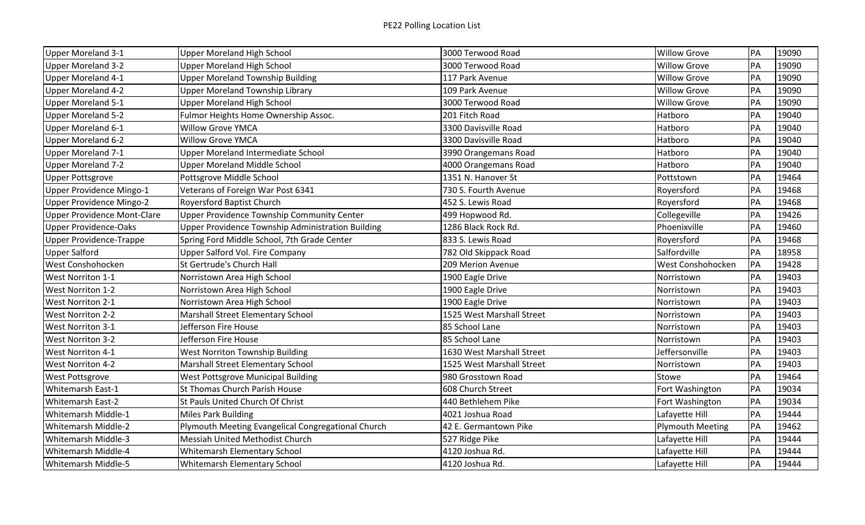| <b>Upper Moreland 3-1</b>          | <b>Upper Moreland High School</b>                  | 3000 Terwood Road         | <b>Willow Grove</b>     | PA | 19090 |
|------------------------------------|----------------------------------------------------|---------------------------|-------------------------|----|-------|
| <b>Upper Moreland 3-2</b>          | Upper Moreland High School                         | 3000 Terwood Road         | <b>Willow Grove</b>     | PA | 19090 |
| <b>Upper Moreland 4-1</b>          | <b>Upper Moreland Township Building</b>            | 117 Park Avenue           | <b>Willow Grove</b>     | PA | 19090 |
| <b>Upper Moreland 4-2</b>          | <b>Upper Moreland Township Library</b>             | 109 Park Avenue           | <b>Willow Grove</b>     | PA | 19090 |
| <b>Upper Moreland 5-1</b>          | <b>Upper Moreland High School</b>                  | 3000 Terwood Road         | <b>Willow Grove</b>     | PA | 19090 |
| <b>Upper Moreland 5-2</b>          | Fulmor Heights Home Ownership Assoc.               | 201 Fitch Road            | Hatboro                 | PA | 19040 |
| <b>Upper Moreland 6-1</b>          | <b>Willow Grove YMCA</b>                           | 3300 Davisville Road      | Hatboro                 | PA | 19040 |
| <b>Upper Moreland 6-2</b>          | <b>Willow Grove YMCA</b>                           | 3300 Davisville Road      | Hatboro                 | PA | 19040 |
| <b>Upper Moreland 7-1</b>          | Upper Moreland Intermediate School                 | 3990 Orangemans Road      | Hatboro                 | PA | 19040 |
| <b>Upper Moreland 7-2</b>          | Upper Moreland Middle School                       | 4000 Orangemans Road      | Hatboro                 | PA | 19040 |
| <b>Upper Pottsgrove</b>            | Pottsgrove Middle School                           | 1351 N. Hanover St        | Pottstown               | PA | 19464 |
| <b>Upper Providence Mingo-1</b>    | Veterans of Foreign War Post 6341                  | 730 S. Fourth Avenue      | Royersford              | PA | 19468 |
| <b>Upper Providence Mingo-2</b>    | <b>Royersford Baptist Church</b>                   | 452 S. Lewis Road         | Royersford              | PA | 19468 |
| <b>Upper Providence Mont-Clare</b> | Upper Providence Township Community Center         | 499 Hopwood Rd.           | Collegeville            | PA | 19426 |
| <b>Upper Providence-Oaks</b>       | Upper Providence Township Administration Building  | 1286 Black Rock Rd.       | Phoenixville            | PA | 19460 |
| <b>Upper Providence-Trappe</b>     | Spring Ford Middle School, 7th Grade Center        | 833 S. Lewis Road         | Royersford              | PA | 19468 |
| <b>Upper Salford</b>               | Upper Salford Vol. Fire Company                    | 782 Old Skippack Road     | Salfordville            | PA | 18958 |
| West Conshohocken                  | St Gertrude's Church Hall                          | 209 Merion Avenue         | West Conshohocken       | PA | 19428 |
| <b>West Norriton 1-1</b>           | Norristown Area High School                        | 1900 Eagle Drive          | Norristown              | PA | 19403 |
| West Norriton 1-2                  | Norristown Area High School                        | 1900 Eagle Drive          | Norristown              | PA | 19403 |
| <b>West Norriton 2-1</b>           | Norristown Area High School                        | 1900 Eagle Drive          | Norristown              | PA | 19403 |
| <b>West Norriton 2-2</b>           | Marshall Street Elementary School                  | 1525 West Marshall Street | Norristown              | PA | 19403 |
| <b>West Norriton 3-1</b>           | Jefferson Fire House                               | 85 School Lane            | Norristown              | PA | 19403 |
| <b>West Norriton 3-2</b>           | Jefferson Fire House                               | 85 School Lane            | Norristown              | PA | 19403 |
| <b>West Norriton 4-1</b>           | West Norriton Township Building                    | 1630 West Marshall Street | Jeffersonville          | PA | 19403 |
| West Norriton 4-2                  | Marshall Street Elementary School                  | 1525 West Marshall Street | Norristown              | PA | 19403 |
| <b>West Pottsgrove</b>             | West Pottsgrove Municipal Building                 | 980 Grosstown Road        | Stowe                   | PA | 19464 |
| <b>Whitemarsh East-1</b>           | St Thomas Church Parish House                      | 608 Church Street         | Fort Washington         | PA | 19034 |
| <b>Whitemarsh East-2</b>           | St Pauls United Church Of Christ                   | 440 Bethlehem Pike        | Fort Washington         | PA | 19034 |
| Whitemarsh Middle-1                | <b>Miles Park Building</b>                         | 4021 Joshua Road          | Lafayette Hill          | PA | 19444 |
| Whitemarsh Middle-2                | Plymouth Meeting Evangelical Congregational Church | 42 E. Germantown Pike     | <b>Plymouth Meeting</b> | PA | 19462 |
| <b>Whitemarsh Middle-3</b>         | <b>Messiah United Methodist Church</b>             | 527 Ridge Pike            | Lafayette Hill          | PA | 19444 |
| Whitemarsh Middle-4                | Whitemarsh Elementary School                       | 4120 Joshua Rd.           | Lafayette Hill          | PA | 19444 |
| <b>Whitemarsh Middle-5</b>         | <b>Whitemarsh Elementary School</b>                | 4120 Joshua Rd.           | Lafayette Hill          | PA | 19444 |